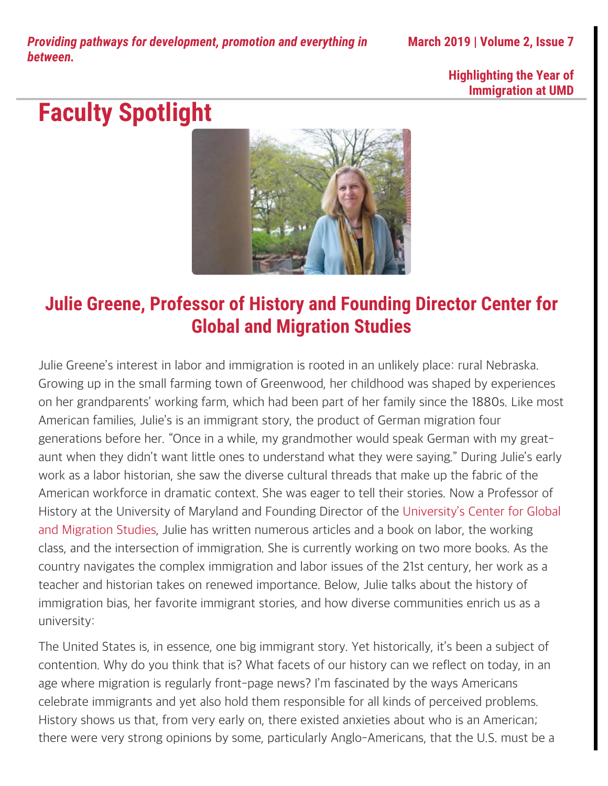*Providing pathways for development, promotion and everything in between.*

**March 2019 | Volume 2, Issue 7**

#### **Highlighting the Year of Immigration at UMD**

## **Faculty Spotlight**



### **Julie Greene, Professor of History and Founding Director Center for Global and Migration Studies**

Julie Greene's interest in labor and immigration is rooted in an unlikely place: rural Nebraska. Growing up in the small farming town of Greenwood, her childhood was shaped by experiences on her grandparents' working farm, which had been part of her family since the 1880s. Like most American families, Julie's is an immigrant story, the product of German migration four generations before her. "Once in a while, my grandmother would speak German with my greataunt when they didn't want little ones to understand what they were saying." During Julie's early work as a labor historian, she saw the diverse cultural threads that make up the fabric of the American workforce in dramatic context. She was eager to tell their stories. Now a Professor of History at the University of Maryland and Founding Director of the [University's Center for Global](http://www.globalmigration.umd.edu/) [and Migration Studies](http://www.globalmigration.umd.edu/), Julie has written numerous articles and a book on labor, the working class, and the intersection of immigration. She is currently working on two more books. As the country navigates the complex immigration and labor issues of the 21st century, her work as a teacher and historian takes on renewed importance. Below, Julie talks about the history of immigration bias, her favorite immigrant stories, and how diverse communities enrich us as a university:

The United States is, in essence, one big immigrant story. Yet historically, it's been a subject of contention. Why do you think that is? What facets of our history can we reflect on today, in an age where migration is regularly front-page news? I'm fascinated by the ways Americans celebrate immigrants and yet also hold them responsible for all kinds of perceived problems. History shows us that, from very early on, there existed anxieties about who is an American; there were very strong opinions by some, particularly Anglo-Americans, that the U.S. must be a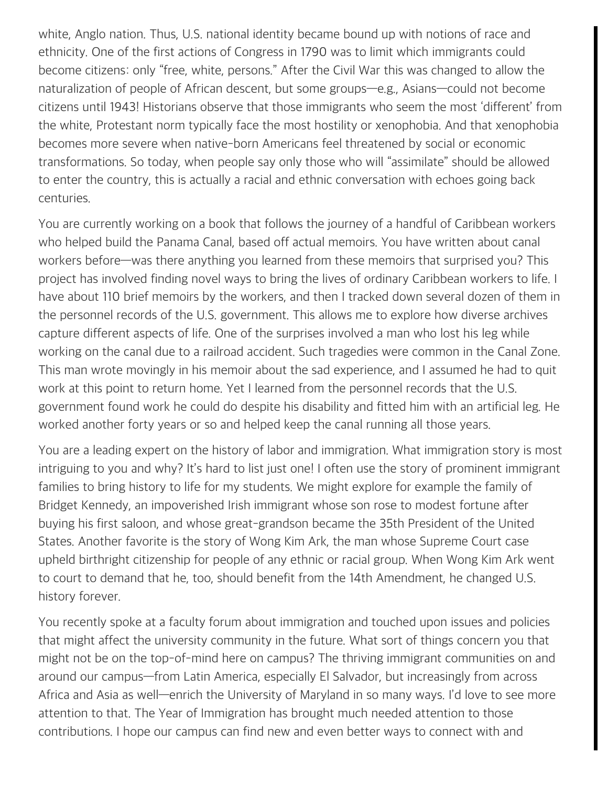white, Anglo nation. Thus, U.S. national identity became bound up with notions of race and ethnicity. One of the first actions of Congress in 1790 was to limit which immigrants could become citizens: only "free, white, persons." After the Civil War this was changed to allow the naturalization of people of African descent, but some groups—e.g., Asians—could not become citizens until 1943! Historians observe that those immigrants who seem the most 'different' from the white, Protestant norm typically face the most hostility or xenophobia. And that xenophobia becomes more severe when native-born Americans feel threatened by social or economic transformations. So today, when people say only those who will "assimilate" should be allowed to enter the country, this is actually a racial and ethnic conversation with echoes going back centuries.

You are currently working on a book that follows the journey of a handful of Caribbean workers who helped build the Panama Canal, based off actual memoirs. You have written about canal workers before—was there anything you learned from these memoirs that surprised you? This project has involved finding novel ways to bring the lives of ordinary Caribbean workers to life. I have about 110 brief memoirs by the workers, and then I tracked down several dozen of them in the personnel records of the U.S. government. This allows me to explore how diverse archives capture different aspects of life. One of the surprises involved a man who lost his leg while working on the canal due to a railroad accident. Such tragedies were common in the Canal Zone. This man wrote movingly in his memoir about the sad experience, and I assumed he had to quit work at this point to return home. Yet I learned from the personnel records that the U.S. government found work he could do despite his disability and fitted him with an artificial leg. He worked another forty years or so and helped keep the canal running all those years.

You are a leading expert on the history of labor and immigration. What immigration story is most intriguing to you and why? It's hard to list just one! I often use the story of prominent immigrant families to bring history to life for my students. We might explore for example the family of Bridget Kennedy, an impoverished Irish immigrant whose son rose to modest fortune after buying his first saloon, and whose great-grandson became the 35th President of the United States. Another favorite is the story of Wong Kim Ark, the man whose Supreme Court case upheld birthright citizenship for people of any ethnic or racial group. When Wong Kim Ark went to court to demand that he, too, should benefit from the 14th Amendment, he changed U.S. history forever.

You recently spoke at a faculty forum about immigration and touched upon issues and policies that might affect the university community in the future. What sort of things concern you that might not be on the top-of-mind here on campus? The thriving immigrant communities on and around our campus—from Latin America, especially El Salvador, but increasingly from across Africa and Asia as well—enrich the University of Maryland in so many ways. I'd love to see more attention to that. The Year of Immigration has brought much needed attention to those contributions. I hope our campus can find new and even better ways to connect with and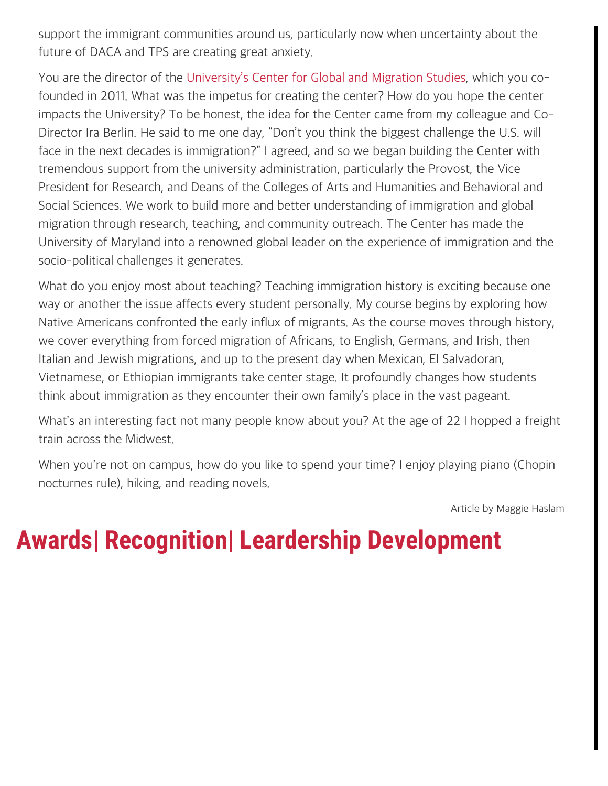support the immigrant communities around us, particularly now when uncertainty about the future of DACA and TPS are creating great anxiety.

You are the director of the [University's Center for Global and Migration Studies](http://www.globalmigration.umd.edu/), which you cofounded in 2011. What was the impetus for creating the center? How do you hope the center impacts the University? To be honest, the idea for the Center came from my colleague and Co-Director Ira Berlin. He said to me one day, "Don't you think the biggest challenge the U.S. will face in the next decades is immigration?" I agreed, and so we began building the Center with tremendous support from the university administration, particularly the Provost, the Vice President for Research, and Deans of the Colleges of Arts and Humanities and Behavioral and Social Sciences. We work to build more and better understanding of immigration and global migration through research, teaching, and community outreach. The Center has made the University of Maryland into a renowned global leader on the experience of immigration and the socio-political challenges it generates.

What do you enjoy most about teaching? Teaching immigration history is exciting because one way or another the issue affects every student personally. My course begins by exploring how Native Americans confronted the early influx of migrants. As the course moves through history, we cover everything from forced migration of Africans, to English, Germans, and Irish, then Italian and Jewish migrations, and up to the present day when Mexican, El Salvadoran, Vietnamese, or Ethiopian immigrants take center stage. It profoundly changes how students think about immigration as they encounter their own family's place in the vast pageant.

What's an interesting fact not many people know about you? At the age of 22 I hopped a freight train across the Midwest.

When you're not on campus, how do you like to spend your time? I enjoy playing piano (Chopin nocturnes rule), hiking, and reading novels.

Article by Maggie Haslam

## **Awards| Recognition| Leardership Development**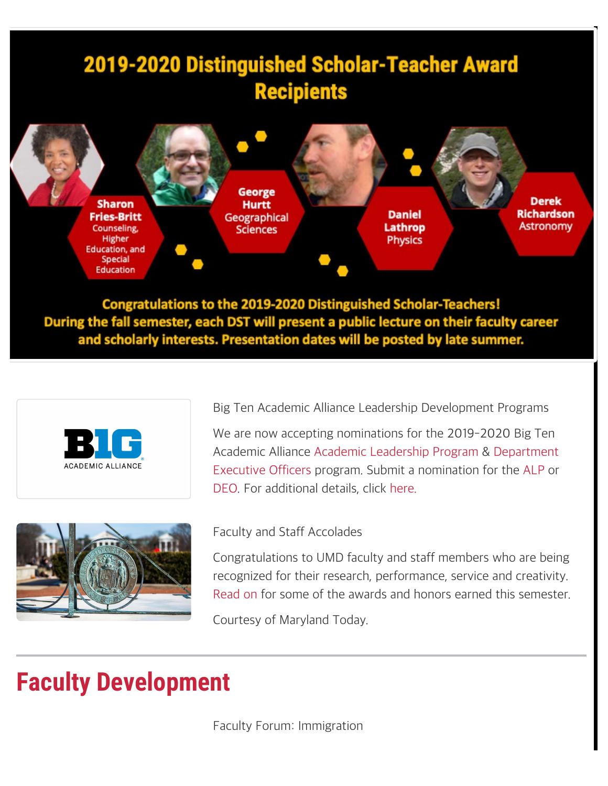

**Congratulations to the 2019-2020 Distinguished Scholar-Teachers!** During the fall semester, each DST will present a public lecture on their faculty career and scholarly interests. Presentation dates will be posted by late summer.





Big Ten Academic Alliance Leadership Development Programs

We are now accepting nominations for the 2019-2020 Big Ten Academic Alliance [Academic Leadership Program](http://www.btaa.org/leadership/alp/introduction) & [Department](http://www.btaa.org/leadership/deo/introduction) [Executive Officers](http://www.btaa.org/leadership/deo/introduction) program. Submit a nomination for the [ALP](https://go.umd.edu/big10alp) or [DEO](https://go.umd.edu/big10deo). For additional details, click [here.](https://www.btaa.org/leadership)

#### Faculty and Staff Accolades

Congratulations to UMD faculty and staff members who are being recognized for their research, performance, service and creativity. [Read on](https://today.umd.edu/articles/faculty-and-staff-accolades-0-985b7808-1dfd-4172-b735-f04aa75eb67d) for some of the awards and honors earned this semester.

Courtesy of Maryland Today.

### **Faculty Development**

Faculty Forum: Immigration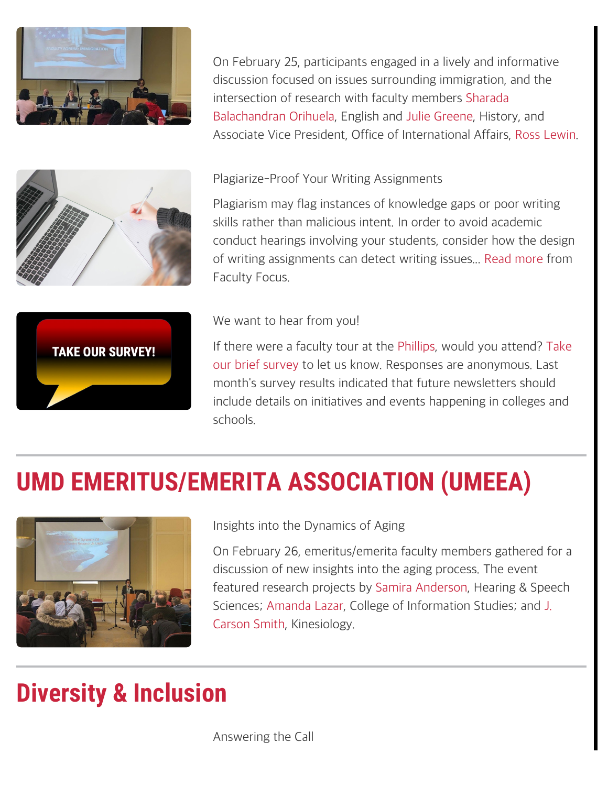

On February 25, participants engaged in a lively and informative discussion focused on issues surrounding immigration, and the intersection of research with faculty members [Sharada](https://www.english.umd.edu/profiles/sbalachandran-orihuela) [Balachandran Orihuela](https://www.english.umd.edu/profiles/sbalachandran-orihuela), English and [Julie Greene](http://history.umd.edu/users/jmg), History, and Associate Vice President, Office of International Affairs, [Ross Lewin](https://globalmaryland.umd.edu/offices/office-international-affairs/oia-staff).



Plagiarize-Proof Your Writing Assignments

Plagiarism may flag instances of knowledge gaps or poor writing skills rather than malicious intent. In order to avoid academic conduct hearings involving your students, consider how the design of writing assignments can detect writing issues... [Read more](https://www.facultyfocus.com/articles/teaching-and-learning/plagiarize-proof-writing-assignments/) from Faculty Focus.



### We want to hear from you!

If there were a faculty tour at the [Phillips](https://www.phillipscollection.org/about/umd), would you attend? [Take](https://umdsurvey.umd.edu/jfe/form/SV_8e8U1IgCCxMLW85) [our brief survey](https://umdsurvey.umd.edu/jfe/form/SV_8e8U1IgCCxMLW85) to let us know. Responses are anonymous. Last month's survey results indicated that future newsletters should include details on initiatives and events happening in colleges and schools.

# **UMD EMERITUS/EMERITA ASSOCIATION (UMEEA)**



Insights into the Dynamics of Aging

On February 26, emeritus/emerita faculty members gathered for a discussion of new insights into the aging process. The event featured research projects by [Samira Anderson](https://hesp.umd.edu/facultyprofile/anderson/samira?qt-faculty_profile2=2), Hearing & Speech Sciences; [Amanda Lazar](https://ischool.umd.edu/faculty-staff/amanda-lazar), College of Information Studies; and [J.](https://sph.umd.edu/people/j-carson-smith) [Carson Smith](https://sph.umd.edu/people/j-carson-smith), Kinesiology.

## **Diversity & Inclusion**

Answering the Call